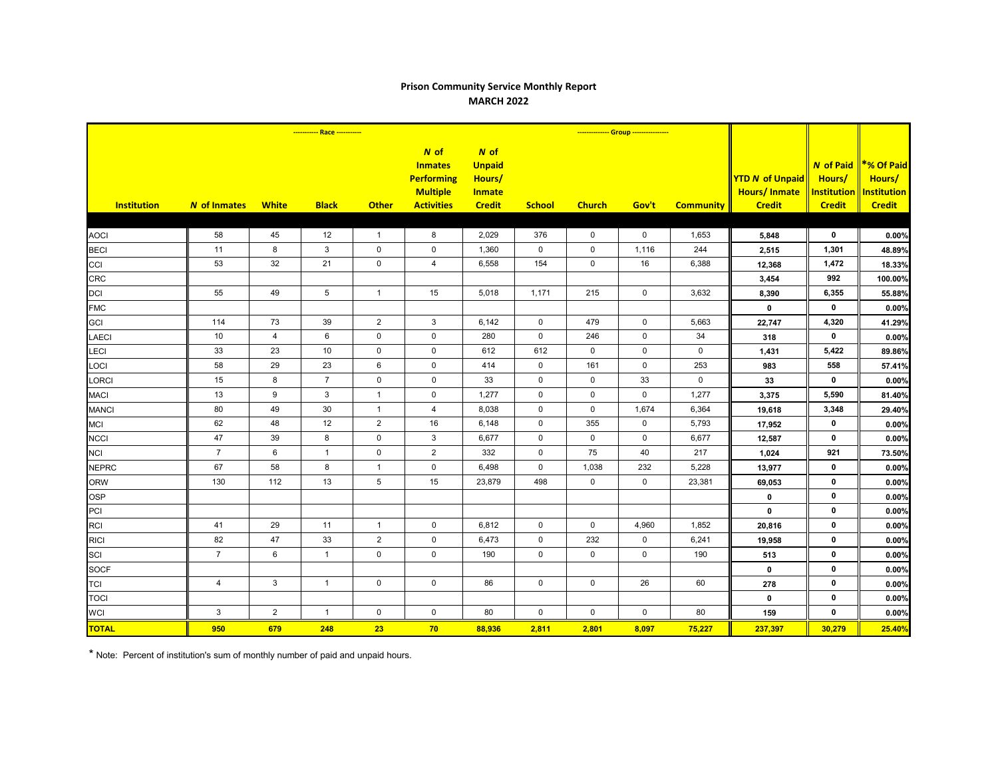## **Prison Community Service Monthly Report MARCH 2022**

|                    |                         |                |                 |                |                                                                                       | -------------- Group ----------------                             |               |               |             |                  |                                                                |                                                                   |                                                             |
|--------------------|-------------------------|----------------|-----------------|----------------|---------------------------------------------------------------------------------------|-------------------------------------------------------------------|---------------|---------------|-------------|------------------|----------------------------------------------------------------|-------------------------------------------------------------------|-------------------------------------------------------------|
| <b>Institution</b> | <b>N</b> of Inmates     | <b>White</b>   | <b>Black</b>    | <b>Other</b>   | $N$ of<br><b>Inmates</b><br><b>Performing</b><br><b>Multiple</b><br><b>Activities</b> | N of<br><b>Unpaid</b><br>Hours/<br><b>Inmate</b><br><b>Credit</b> | <b>School</b> | <b>Church</b> | Gov't       | <b>Community</b> | <b>YTD N of Unpaid</b><br><b>Hours/Inmate</b><br><b>Credit</b> | <b>N</b> of Paid<br>Hours/<br><b>Institution</b><br><b>Credit</b> | *% Of Paid<br>Hours/<br><b>Institution</b><br><b>Credit</b> |
|                    |                         |                |                 |                |                                                                                       |                                                                   |               |               |             |                  |                                                                |                                                                   |                                                             |
| <b>AOCI</b>        | 58                      | 45             | 12              | $\overline{1}$ | 8                                                                                     | 2,029                                                             | 376           | $\mathsf{O}$  | $\mathbf 0$ | 1,653            | 5,848                                                          | $\mathbf 0$                                                       | 0.00%                                                       |
| <b>BECI</b>        | 11                      | 8              | $\mathbf{3}$    | $\pmb{0}$      | $\mathsf{O}\xspace$                                                                   | 1,360                                                             | $\mathsf 0$   | $\mathsf 0$   | 1,116       | 244              | 2,515                                                          | 1,301                                                             | 48.89%                                                      |
| CCI                | 53                      | 32             | 21              | $\mathbf 0$    | $\overline{4}$                                                                        | 6,558                                                             | 154           | $\mathbf 0$   | 16          | 6,388            | 12,368                                                         | 1,472                                                             | 18.33%                                                      |
| <b>CRC</b>         |                         |                |                 |                |                                                                                       |                                                                   |               |               |             |                  | 3,454                                                          | 992                                                               | 100.00%                                                     |
| DCI                | 55                      | 49             | $5\phantom{.0}$ | $\mathbf{1}$   | 15                                                                                    | 5,018                                                             | 1,171         | 215           | $\mathsf 0$ | 3,632            | 8,390                                                          | 6,355                                                             | 55.88%                                                      |
| <b>FMC</b>         |                         |                |                 |                |                                                                                       |                                                                   |               |               |             |                  | $\mathbf 0$                                                    | $\mathbf 0$                                                       | 0.00%                                                       |
| GCI                | 114                     | 73             | 39              | 2              | $\mathbf{3}$                                                                          | 6,142                                                             | $\mathbf 0$   | 479           | $\mathbf 0$ | 5,663            | 22,747                                                         | 4,320                                                             | 41.29%                                                      |
| <b>LAECI</b>       | 10                      | $\overline{4}$ | 6               | $\mathbf 0$    | $\mathbf 0$                                                                           | 280                                                               | $\mathbf 0$   | 246           | $\mathbf 0$ | 34               | 318                                                            | $\mathbf 0$                                                       | 0.00%                                                       |
| LECI               | 33                      | 23             | $10$            | $\pmb{0}$      | $\mathsf{O}\xspace$                                                                   | 612                                                               | 612           | $\mathsf{O}$  | $\pmb{0}$   | $\pmb{0}$        | 1,431                                                          | 5,422                                                             | 89.86%                                                      |
| LOCI               | 58                      | 29             | 23              | $\,6\,$        | $\mathbf 0$                                                                           | 414                                                               | $\mathbf 0$   | 161           | $\mathbf 0$ | 253              | 983                                                            | 558                                                               | 57.41%                                                      |
| <b>LORCI</b>       | 15                      | 8              | $7\overline{ }$ | $\mathbf 0$    | $\mathbf 0$                                                                           | 33                                                                | $\mathsf{O}$  | $\mathsf{O}$  | 33          | $\mathbf 0$      | 33                                                             | $\mathbf 0$                                                       | 0.00%                                                       |
| <b>MACI</b>        | 13                      | 9              | 3               | $\mathbf{1}$   | $\mathbf 0$                                                                           | 1,277                                                             | $\mathsf{O}$  | $\mathsf{O}$  | $\pmb{0}$   | 1,277            | 3,375                                                          | 5,590                                                             | 81.40%                                                      |
| <b>MANCI</b>       | 80                      | 49             | 30              | $\mathbf{1}$   | $\overline{4}$                                                                        | 8,038                                                             | $\mathbf 0$   | $\mathbf 0$   | 1,674       | 6,364            | 19,618                                                         | 3,348                                                             | 29.40%                                                      |
| <b>MCI</b>         | 62                      | 48             | 12              | 2              | 16                                                                                    | 6,148                                                             | 0             | 355           | $\mathbf 0$ | 5,793            | 17,952                                                         | $\mathbf 0$                                                       | 0.00%                                                       |
| <b>NCCI</b>        | 47                      | 39             | 8               | $\pmb{0}$      | $\sqrt{3}$                                                                            | 6,677                                                             | 0             | $\mathsf 0$   | $\pmb{0}$   | 6,677            | 12,587                                                         | $\mathbf 0$                                                       | 0.00%                                                       |
| <b>NCI</b>         | $\boldsymbol{7}$        | $\,6\,$        | $\mathbf{1}$    | $\pmb{0}$      | $\sqrt{2}$                                                                            | 332                                                               | $\mathbf 0$   | 75            | 40          | 217              | 1,024                                                          | 921                                                               | 73.50%                                                      |
| <b>NEPRC</b>       | 67                      | 58             | 8               | $\mathbf{1}$   | $\mathsf{O}\xspace$                                                                   | 6,498                                                             | $\mathbf 0$   | 1,038         | 232         | 5,228            | 13,977                                                         | $\mathbf 0$                                                       | 0.00%                                                       |
| <b>ORW</b>         | 130                     | 112            | 13              | $\sqrt{5}$     | 15                                                                                    | 23,879                                                            | 498           | $\mathsf{O}$  | $\mathbf 0$ | 23,381           | 69,053                                                         | $\mathbf 0$                                                       | 0.00%                                                       |
| <b>OSP</b>         |                         |                |                 |                |                                                                                       |                                                                   |               |               |             |                  | $\mathbf 0$                                                    | $\mathbf 0$                                                       | 0.00%                                                       |
| PCI                |                         |                |                 |                |                                                                                       |                                                                   |               |               |             |                  | $\mathbf 0$                                                    | $\mathbf 0$                                                       | 0.00%                                                       |
| <b>RCI</b>         | 41                      | 29             | 11              | $\mathbf{1}$   | 0                                                                                     | 6,812                                                             | $\mathbf 0$   | $\mathsf{O}$  | 4,960       | 1,852            | 20,816                                                         | 0                                                                 | 0.00%                                                       |
| <b>RICI</b>        | 82                      | 47             | 33              | $\overline{2}$ | $\mathsf 0$                                                                           | 6,473                                                             | $\mathbf 0$   | 232           | $\pmb{0}$   | 6,241            | 19,958                                                         | $\mathbf 0$                                                       | 0.00%                                                       |
| SCI                | $\overline{7}$          | 6              | $\overline{1}$  | $\pmb{0}$      | $\mathbf 0$                                                                           | 190                                                               | $\mathbf 0$   | $\mathbf 0$   | $\mathbf 0$ | 190              | 513                                                            | $\mathbf 0$                                                       | 0.00%                                                       |
| <b>SOCF</b>        |                         |                |                 |                |                                                                                       |                                                                   |               |               |             |                  | $\mathbf 0$                                                    | $\mathbf 0$                                                       | 0.00%                                                       |
| <b>TCI</b>         | $\overline{\mathbf{4}}$ | $\mathbf{3}$   | $\mathbf{1}$    | $\pmb{0}$      | $\mathsf{O}\xspace$                                                                   | 86                                                                | $\mathsf 0$   | $\mathbf 0$   | 26          | 60               | 278                                                            | $\mathbf 0$                                                       | 0.00%                                                       |
| <b>TOCI</b>        |                         |                |                 |                |                                                                                       |                                                                   |               |               |             |                  | $\mathbf 0$                                                    | $\mathbf 0$                                                       | 0.00%                                                       |
| <b>WCI</b>         | $\mathfrak{S}$          | $\overline{2}$ | $\overline{1}$  | $\pmb{0}$      | $\mathbf 0$                                                                           | 80                                                                | $\mathsf{O}$  | $\mathsf{O}$  | $\mathbf 0$ | 80               | 159                                                            | $\mathbf 0$                                                       | 0.00%                                                       |
| <b>TOTAL</b>       | 950                     | 679            | 248             | 23             | 70                                                                                    | 88,936                                                            | 2,811         | 2,801         | 8,097       | 75,227           | 237,397                                                        | 30,279                                                            | 25.40%                                                      |

\* Note: Percent of institution's sum of monthly number of paid and unpaid hours.